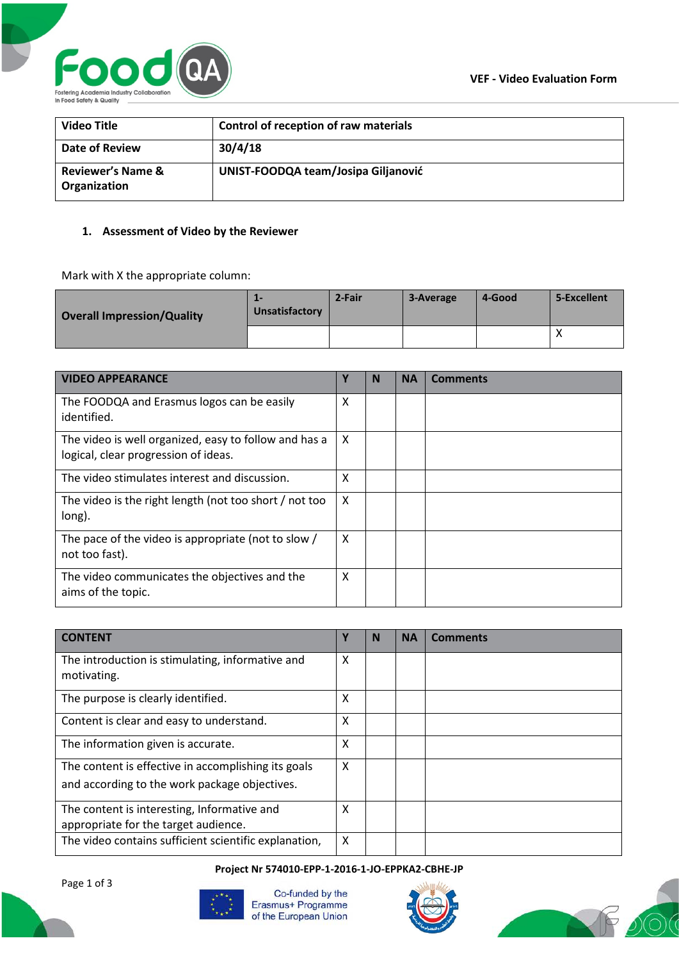

| <b>Video Title</b>                           | Control of reception of raw materials |
|----------------------------------------------|---------------------------------------|
| Date of Review                               | 30/4/18                               |
| <b>Reviewer's Name &amp;</b><br>Organization | UNIST-FOODQA team/Josipa Giljanović   |

#### **1. Assessment of Video by the Reviewer**

Mark with X the appropriate column:

| <b>Overall Impression/Quality</b> | --<br>Unsatisfactory | 2-Fair | 3-Average | 4-Good | 5-Excellent |
|-----------------------------------|----------------------|--------|-----------|--------|-------------|
|                                   |                      |        |           |        | $\lambda$   |

| <b>VIDEO APPEARANCE</b>                                                                       | Υ | N | <b>NA</b> | <b>Comments</b> |
|-----------------------------------------------------------------------------------------------|---|---|-----------|-----------------|
| The FOODQA and Erasmus logos can be easily<br>identified.                                     | X |   |           |                 |
| The video is well organized, easy to follow and has a<br>logical, clear progression of ideas. | X |   |           |                 |
| The video stimulates interest and discussion.                                                 | X |   |           |                 |
| The video is the right length (not too short / not too<br>long).                              | X |   |           |                 |
| The pace of the video is appropriate (not to slow /<br>not too fast).                         | X |   |           |                 |
| The video communicates the objectives and the<br>aims of the topic.                           | X |   |           |                 |

| <b>CONTENT</b>                                                                                       | Υ | N | <b>NA</b> | Comments |
|------------------------------------------------------------------------------------------------------|---|---|-----------|----------|
| The introduction is stimulating, informative and<br>motivating.                                      | X |   |           |          |
| The purpose is clearly identified.                                                                   | X |   |           |          |
| Content is clear and easy to understand.                                                             | X |   |           |          |
| The information given is accurate.                                                                   | X |   |           |          |
| The content is effective in accomplishing its goals<br>and according to the work package objectives. | X |   |           |          |
| The content is interesting, Informative and<br>appropriate for the target audience.                  | X |   |           |          |
| The video contains sufficient scientific explanation,                                                | X |   |           |          |

#### **Project Nr 574010-EPP-1-2016-1-JO-EPPKA2-CBHE-JP**

Page 1 of 3



Co-funded by the Erasmus+ Programme of the European Union



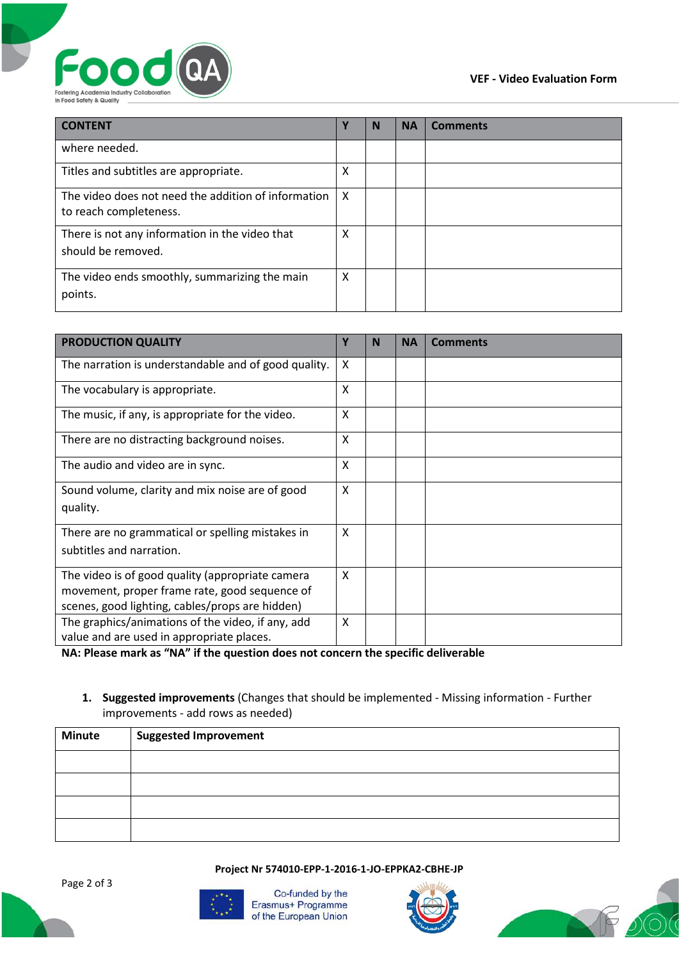



| <b>CONTENT</b>                                                                | Υ | N | <b>NA</b> | <b>Comments</b> |
|-------------------------------------------------------------------------------|---|---|-----------|-----------------|
| where needed.                                                                 |   |   |           |                 |
| Titles and subtitles are appropriate.                                         | X |   |           |                 |
| The video does not need the addition of information<br>to reach completeness. | X |   |           |                 |
| There is not any information in the video that<br>should be removed.          | X |   |           |                 |
| The video ends smoothly, summarizing the main<br>points.                      | X |   |           |                 |

| <b>PRODUCTION QUALITY</b>                                                                                                                            | Υ | N | <b>NA</b> | <b>Comments</b> |
|------------------------------------------------------------------------------------------------------------------------------------------------------|---|---|-----------|-----------------|
| The narration is understandable and of good quality.                                                                                                 | X |   |           |                 |
| The vocabulary is appropriate.                                                                                                                       | X |   |           |                 |
| The music, if any, is appropriate for the video.                                                                                                     | X |   |           |                 |
| There are no distracting background noises.                                                                                                          | X |   |           |                 |
| The audio and video are in sync.                                                                                                                     | X |   |           |                 |
| Sound volume, clarity and mix noise are of good<br>quality.                                                                                          | X |   |           |                 |
| There are no grammatical or spelling mistakes in<br>subtitles and narration.                                                                         | X |   |           |                 |
| The video is of good quality (appropriate camera<br>movement, proper frame rate, good sequence of<br>scenes, good lighting, cables/props are hidden) | X |   |           |                 |
| The graphics/animations of the video, if any, add<br>value and are used in appropriate places.                                                       | X |   |           |                 |

**NA: Please mark as "NA" if the question does not concern the specific deliverable**

# **1. Suggested improvements** (Changes that should be implemented - Missing information - Further improvements - add rows as needed)

| <b>Minute</b> | Suggested Improvement |
|---------------|-----------------------|
|               |                       |
|               |                       |
|               |                       |
|               |                       |

**Project Nr 574010-EPP-1-2016-1-JO-EPPKA2-CBHE-JP**



Co-funded by the Erasmus+ Programme of the European Union